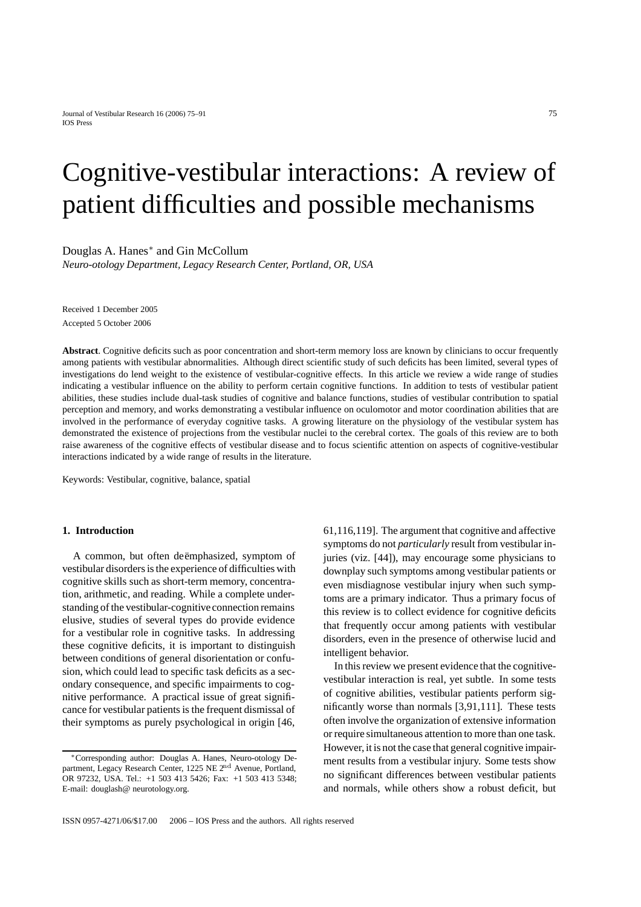# Cognitive-vestibular interactions: A review of patient difficulties and possible mechanisms

Douglas A. Hanes∗ and Gin McCollum

*Neuro-otology Department, Legacy Research Center, Portland, OR, USA*

Received 1 December 2005 Accepted 5 October 2006

**Abstract**. Cognitive deficits such as poor concentration and short-term memory loss are known by clinicians to occur frequently among patients with vestibular abnormalities. Although direct scientific study of such deficits has been limited, several types of investigations do lend weight to the existence of vestibular-cognitive effects. In this article we review a wide range of studies indicating a vestibular influence on the ability to perform certain cognitive functions. In addition to tests of vestibular patient abilities, these studies include dual-task studies of cognitive and balance functions, studies of vestibular contribution to spatial perception and memory, and works demonstrating a vestibular influence on oculomotor and motor coordination abilities that are involved in the performance of everyday cognitive tasks. A growing literature on the physiology of the vestibular system has demonstrated the existence of projections from the vestibular nuclei to the cerebral cortex. The goals of this review are to both raise awareness of the cognitive effects of vestibular disease and to focus scientific attention on aspects of cognitive-vestibular interactions indicated by a wide range of results in the literature.

Keywords: Vestibular, cognitive, balance, spatial

## **1. Introduction**

A common, but often deemphasized, symptom of vestibular disorders is the experience of difficulties with cognitive skills such as short-term memory, concentration, arithmetic, and reading. While a complete understanding of the vestibular-cognitive connection remains elusive, studies of several types do provide evidence for a vestibular role in cognitive tasks. In addressing these cognitive deficits, it is important to distinguish between conditions of general disorientation or confusion, which could lead to specific task deficits as a secondary consequence, and specific impairments to cognitive performance. A practical issue of great significance for vestibular patients is the frequent dismissal of their symptoms as purely psychological in origin [46,

61,116,119]. The argument that cognitive and affective symptoms do not *particularly* result from vestibular injuries (viz. [44]), may encourage some physicians to downplay such symptoms among vestibular patients or even misdiagnose vestibular injury when such symptoms are a primary indicator. Thus a primary focus of this review is to collect evidence for cognitive deficits that frequently occur among patients with vestibular disorders, even in the presence of otherwise lucid and intelligent behavior.

In this review we present evidence that the cognitivevestibular interaction is real, yet subtle. In some tests of cognitive abilities, vestibular patients perform significantly worse than normals [3,91,111]. These tests often involve the organization of extensive information or require simultaneous attention to more than one task. However, it is not the case that general cognitive impairment results from a vestibular injury. Some tests show no significant differences between vestibular patients and normals, while others show a robust deficit, but

<sup>∗</sup>Corresponding author: Douglas A. Hanes, Neuro-otology Department, Legacy Research Center, 1225 NE 2<sup>nd</sup> Avenue, Portland, OR 97232, USA. Tel.: +1 503 413 5426; Fax: +1 503 413 5348; E-mail: douglash@ neurotology.org.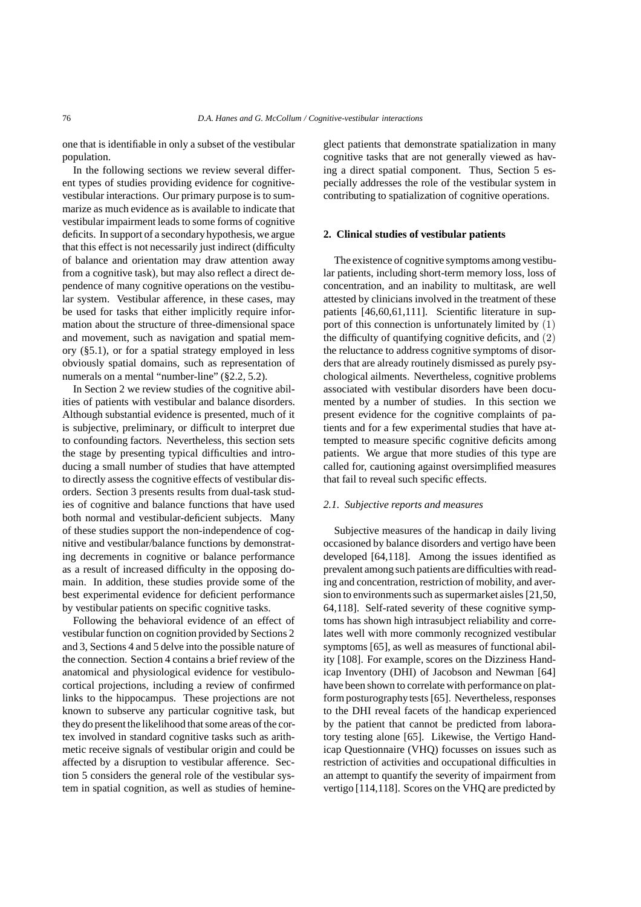one that is identifiable in only a subset of the vestibular population.

In the following sections we review several different types of studies providing evidence for cognitivevestibular interactions. Our primary purpose is to summarize as much evidence as is available to indicate that vestibular impairment leads to some forms of cognitive deficits. In support of a secondary hypothesis, we argue that this effect is not necessarily just indirect (difficulty of balance and orientation may draw attention away from a cognitive task), but may also reflect a direct dependence of many cognitive operations on the vestibular system. Vestibular afference, in these cases, may be used for tasks that either implicitly require information about the structure of three-dimensional space and movement, such as navigation and spatial memory (§5.1), or for a spatial strategy employed in less obviously spatial domains, such as representation of numerals on a mental "number-line" (§2.2, 5.2).

In Section 2 we review studies of the cognitive abilities of patients with vestibular and balance disorders. Although substantial evidence is presented, much of it is subjective, preliminary, or difficult to interpret due to confounding factors. Nevertheless, this section sets the stage by presenting typical difficulties and introducing a small number of studies that have attempted to directly assess the cognitive effects of vestibular disorders. Section 3 presents results from dual-task studies of cognitive and balance functions that have used both normal and vestibular-deficient subjects. Many of these studies support the non-independence of cognitive and vestibular/balance functions by demonstrating decrements in cognitive or balance performance as a result of increased difficulty in the opposing domain. In addition, these studies provide some of the best experimental evidence for deficient performance by vestibular patients on specific cognitive tasks.

Following the behavioral evidence of an effect of vestibular function on cognition provided by Sections 2 and 3, Sections 4 and 5 delve into the possible nature of the connection. Section 4 contains a brief review of the anatomical and physiological evidence for vestibulocortical projections, including a review of confirmed links to the hippocampus. These projections are not known to subserve any particular cognitive task, but they do present the likelihood that some areas of the cortex involved in standard cognitive tasks such as arithmetic receive signals of vestibular origin and could be affected by a disruption to vestibular afference. Section 5 considers the general role of the vestibular system in spatial cognition, as well as studies of hemineglect patients that demonstrate spatialization in many cognitive tasks that are not generally viewed as having a direct spatial component. Thus, Section 5 especially addresses the role of the vestibular system in contributing to spatialization of cognitive operations.

# **2. Clinical studies of vestibular patients**

The existence of cognitive symptoms among vestibular patients, including short-term memory loss, loss of concentration, and an inability to multitask, are well attested by clinicians involved in the treatment of these patients [46,60,61,111]. Scientific literature in support of this connection is unfortunately limited by (1) the difficulty of quantifying cognitive deficits, and (2) the reluctance to address cognitive symptoms of disorders that are already routinely dismissed as purely psychological ailments. Nevertheless, cognitive problems associated with vestibular disorders have been documented by a number of studies. In this section we present evidence for the cognitive complaints of patients and for a few experimental studies that have attempted to measure specific cognitive deficits among patients. We argue that more studies of this type are called for, cautioning against oversimplified measures that fail to reveal such specific effects.

# *2.1. Subjective reports and measures*

Subjective measures of the handicap in daily living occasioned by balance disorders and vertigo have been developed [64,118]. Among the issues identified as prevalent among such patients are difficulties with reading and concentration, restriction of mobility, and aversion to environments such as supermarket aisles [21,50, 64,118]. Self-rated severity of these cognitive symptoms has shown high intrasubject reliability and correlates well with more commonly recognized vestibular symptoms [65], as well as measures of functional ability [108]. For example, scores on the Dizziness Handicap Inventory (DHI) of Jacobson and Newman [64] have been shown to correlate with performance on platform posturography tests [65]. Nevertheless, responses to the DHI reveal facets of the handicap experienced by the patient that cannot be predicted from laboratory testing alone [65]. Likewise, the Vertigo Handicap Questionnaire (VHQ) focusses on issues such as restriction of activities and occupational difficulties in an attempt to quantify the severity of impairment from vertigo [114,118]. Scores on the VHQ are predicted by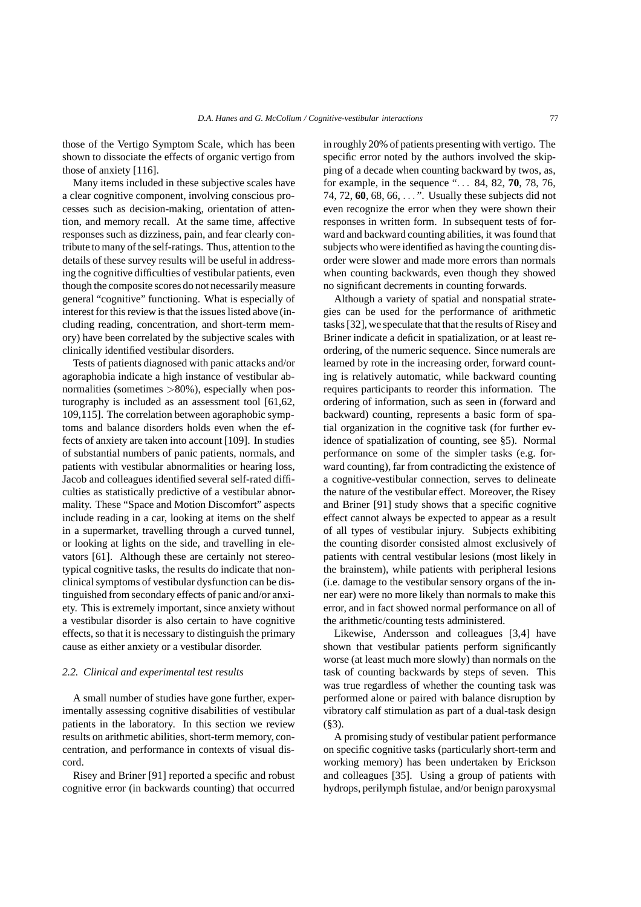those of the Vertigo Symptom Scale, which has been shown to dissociate the effects of organic vertigo from those of anxiety [116].

Many items included in these subjective scales have a clear cognitive component, involving conscious processes such as decision-making, orientation of attention, and memory recall. At the same time, affective responses such as dizziness, pain, and fear clearly contribute to many of the self-ratings. Thus, attention to the details of these survey results will be useful in addressing the cognitive difficulties of vestibular patients, even though the composite scores do not necessarily measure general "cognitive" functioning. What is especially of interest for this review is that the issues listed above (including reading, concentration, and short-term memory) have been correlated by the subjective scales with clinically identified vestibular disorders.

Tests of patients diagnosed with panic attacks and/or agoraphobia indicate a high instance of vestibular abnormalities (sometimes *>*80%), especially when posturography is included as an assessment tool [61,62, 109,115]. The correlation between agoraphobic symptoms and balance disorders holds even when the effects of anxiety are taken into account [109]. In studies of substantial numbers of panic patients, normals, and patients with vestibular abnormalities or hearing loss, Jacob and colleagues identified several self-rated difficulties as statistically predictive of a vestibular abnormality. These "Space and Motion Discomfort" aspects include reading in a car, looking at items on the shelf in a supermarket, travelling through a curved tunnel, or looking at lights on the side, and travelling in elevators [61]. Although these are certainly not stereotypical cognitive tasks, the results do indicate that nonclinical symptoms of vestibular dysfunction can be distinguished from secondary effects of panic and/or anxiety. This is extremely important, since anxiety without a vestibular disorder is also certain to have cognitive effects, so that it is necessary to distinguish the primary cause as either anxiety or a vestibular disorder.

#### *2.2. Clinical and experimental test results*

A small number of studies have gone further, experimentally assessing cognitive disabilities of vestibular patients in the laboratory. In this section we review results on arithmetic abilities, short-term memory, concentration, and performance in contexts of visual discord.

Risey and Briner [91] reported a specific and robust cognitive error (in backwards counting) that occurred

in roughly 20% of patients presenting with vertigo. The specific error noted by the authors involved the skipping of a decade when counting backward by twos, as, for example, in the sequence "*...* 84, 82, **70**, 78, 76, 74, 72, **60**, 68, 66, *...* ". Usually these subjects did not even recognize the error when they were shown their responses in written form. In subsequent tests of forward and backward counting abilities, it was found that subjects who were identified as having the counting disorder were slower and made more errors than normals when counting backwards, even though they showed no significant decrements in counting forwards.

Although a variety of spatial and nonspatial strategies can be used for the performance of arithmetic tasks [32], we speculate that that the results of Risey and Briner indicate a deficit in spatialization, or at least reordering, of the numeric sequence. Since numerals are learned by rote in the increasing order, forward counting is relatively automatic, while backward counting requires participants to reorder this information. The ordering of information, such as seen in (forward and backward) counting, represents a basic form of spatial organization in the cognitive task (for further evidence of spatialization of counting, see §5). Normal performance on some of the simpler tasks (e.g. forward counting), far from contradicting the existence of a cognitive-vestibular connection, serves to delineate the nature of the vestibular effect. Moreover, the Risey and Briner [91] study shows that a specific cognitive effect cannot always be expected to appear as a result of all types of vestibular injury. Subjects exhibiting the counting disorder consisted almost exclusively of patients with central vestibular lesions (most likely in the brainstem), while patients with peripheral lesions (i.e. damage to the vestibular sensory organs of the inner ear) were no more likely than normals to make this error, and in fact showed normal performance on all of the arithmetic/counting tests administered.

Likewise, Andersson and colleagues [3,4] have shown that vestibular patients perform significantly worse (at least much more slowly) than normals on the task of counting backwards by steps of seven. This was true regardless of whether the counting task was performed alone or paired with balance disruption by vibratory calf stimulation as part of a dual-task design  $(\$3)$ .

A promising study of vestibular patient performance on specific cognitive tasks (particularly short-term and working memory) has been undertaken by Erickson and colleagues [35]. Using a group of patients with hydrops, perilymph fistulae, and/or benign paroxysmal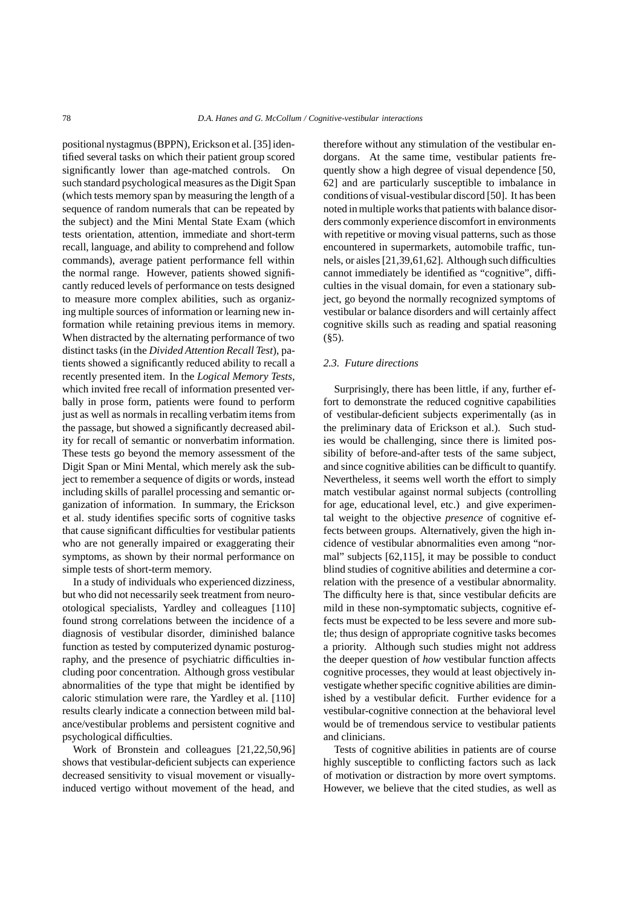positional nystagmus (BPPN), Erickson et al. [35] identified several tasks on which their patient group scored significantly lower than age-matched controls. On such standard psychological measures as the Digit Span (which tests memory span by measuring the length of a sequence of random numerals that can be repeated by the subject) and the Mini Mental State Exam (which tests orientation, attention, immediate and short-term recall, language, and ability to comprehend and follow commands), average patient performance fell within the normal range. However, patients showed significantly reduced levels of performance on tests designed to measure more complex abilities, such as organizing multiple sources of information or learning new information while retaining previous items in memory. When distracted by the alternating performance of two distinct tasks (in the *Divided Attention Recall Test*), patients showed a significantly reduced ability to recall a recently presented item. In the *Logical Memory Tests*, which invited free recall of information presented verbally in prose form, patients were found to perform just as well as normals in recalling verbatim items from the passage, but showed a significantly decreased ability for recall of semantic or nonverbatim information. These tests go beyond the memory assessment of the Digit Span or Mini Mental, which merely ask the subject to remember a sequence of digits or words, instead including skills of parallel processing and semantic organization of information. In summary, the Erickson et al. study identifies specific sorts of cognitive tasks that cause significant difficulties for vestibular patients who are not generally impaired or exaggerating their symptoms, as shown by their normal performance on simple tests of short-term memory.

In a study of individuals who experienced dizziness, but who did not necessarily seek treatment from neurootological specialists, Yardley and colleagues [110] found strong correlations between the incidence of a diagnosis of vestibular disorder, diminished balance function as tested by computerized dynamic posturography, and the presence of psychiatric difficulties including poor concentration. Although gross vestibular abnormalities of the type that might be identified by caloric stimulation were rare, the Yardley et al. [110] results clearly indicate a connection between mild balance/vestibular problems and persistent cognitive and psychological difficulties.

Work of Bronstein and colleagues [21,22,50,96] shows that vestibular-deficient subjects can experience decreased sensitivity to visual movement or visuallyinduced vertigo without movement of the head, and

therefore without any stimulation of the vestibular endorgans. At the same time, vestibular patients frequently show a high degree of visual dependence [50, 62] and are particularly susceptible to imbalance in conditions of visual-vestibular discord [50]. It has been noted in multiple works that patients with balance disorders commonly experience discomfort in environments with repetitive or moving visual patterns, such as those encountered in supermarkets, automobile traffic, tunnels, or aisles [21,39,61,62]. Although such difficulties cannot immediately be identified as "cognitive", difficulties in the visual domain, for even a stationary subject, go beyond the normally recognized symptoms of vestibular or balance disorders and will certainly affect cognitive skills such as reading and spatial reasoning  $(85)$ .

## *2.3. Future directions*

Surprisingly, there has been little, if any, further effort to demonstrate the reduced cognitive capabilities of vestibular-deficient subjects experimentally (as in the preliminary data of Erickson et al.). Such studies would be challenging, since there is limited possibility of before-and-after tests of the same subject, and since cognitive abilities can be difficult to quantify. Nevertheless, it seems well worth the effort to simply match vestibular against normal subjects (controlling for age, educational level, etc.) and give experimental weight to the objective *presence* of cognitive effects between groups. Alternatively, given the high incidence of vestibular abnormalities even among "normal" subjects [62,115], it may be possible to conduct blind studies of cognitive abilities and determine a correlation with the presence of a vestibular abnormality. The difficulty here is that, since vestibular deficits are mild in these non-symptomatic subjects, cognitive effects must be expected to be less severe and more subtle; thus design of appropriate cognitive tasks becomes a priority. Although such studies might not address the deeper question of *how* vestibular function affects cognitive processes, they would at least objectively investigate whether specific cognitive abilities are diminished by a vestibular deficit. Further evidence for a vestibular-cognitive connection at the behavioral level would be of tremendous service to vestibular patients and clinicians.

Tests of cognitive abilities in patients are of course highly susceptible to conflicting factors such as lack of motivation or distraction by more overt symptoms. However, we believe that the cited studies, as well as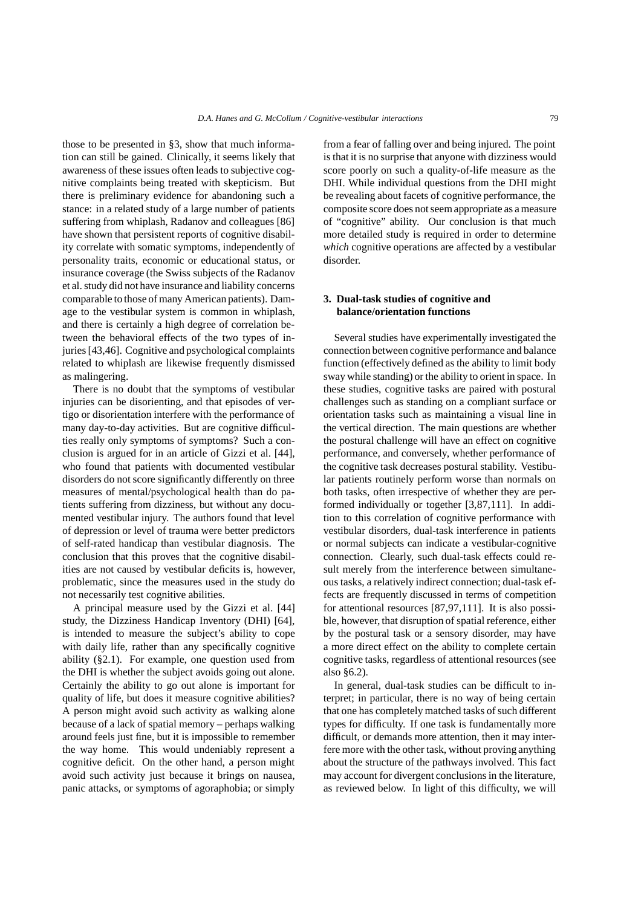those to be presented in §3, show that much information can still be gained. Clinically, it seems likely that awareness of these issues often leads to subjective cognitive complaints being treated with skepticism. But there is preliminary evidence for abandoning such a stance: in a related study of a large number of patients suffering from whiplash, Radanov and colleagues [86] have shown that persistent reports of cognitive disability correlate with somatic symptoms, independently of personality traits, economic or educational status, or insurance coverage (the Swiss subjects of the Radanov et al. study did not have insurance and liability concerns comparable to those of many American patients). Damage to the vestibular system is common in whiplash, and there is certainly a high degree of correlation between the behavioral effects of the two types of injuries [43,46]. Cognitive and psychological complaints related to whiplash are likewise frequently dismissed as malingering.

There is no doubt that the symptoms of vestibular injuries can be disorienting, and that episodes of vertigo or disorientation interfere with the performance of many day-to-day activities. But are cognitive difficulties really only symptoms of symptoms? Such a conclusion is argued for in an article of Gizzi et al. [44], who found that patients with documented vestibular disorders do not score significantly differently on three measures of mental/psychological health than do patients suffering from dizziness, but without any documented vestibular injury. The authors found that level of depression or level of trauma were better predictors of self-rated handicap than vestibular diagnosis. The conclusion that this proves that the cognitive disabilities are not caused by vestibular deficits is, however, problematic, since the measures used in the study do not necessarily test cognitive abilities.

A principal measure used by the Gizzi et al. [44] study, the Dizziness Handicap Inventory (DHI) [64], is intended to measure the subject's ability to cope with daily life, rather than any specifically cognitive ability (§2.1). For example, one question used from the DHI is whether the subject avoids going out alone. Certainly the ability to go out alone is important for quality of life, but does it measure cognitive abilities? A person might avoid such activity as walking alone because of a lack of spatial memory – perhaps walking around feels just fine, but it is impossible to remember the way home. This would undeniably represent a cognitive deficit. On the other hand, a person might avoid such activity just because it brings on nausea, panic attacks, or symptoms of agoraphobia; or simply from a fear of falling over and being injured. The point is that it is no surprise that anyone with dizziness would score poorly on such a quality-of-life measure as the DHI. While individual questions from the DHI might be revealing about facets of cognitive performance, the composite score does not seem appropriate as a measure of "cognitive" ability. Our conclusion is that much more detailed study is required in order to determine *which* cognitive operations are affected by a vestibular disorder.

# **3. Dual-task studies of cognitive and balance/orientation functions**

Several studies have experimentally investigated the connection between cognitive performance and balance function (effectively defined as the ability to limit body sway while standing) or the ability to orient in space. In these studies, cognitive tasks are paired with postural challenges such as standing on a compliant surface or orientation tasks such as maintaining a visual line in the vertical direction. The main questions are whether the postural challenge will have an effect on cognitive performance, and conversely, whether performance of the cognitive task decreases postural stability. Vestibular patients routinely perform worse than normals on both tasks, often irrespective of whether they are performed individually or together [3,87,111]. In addition to this correlation of cognitive performance with vestibular disorders, dual-task interference in patients or normal subjects can indicate a vestibular-cognitive connection. Clearly, such dual-task effects could result merely from the interference between simultaneous tasks, a relatively indirect connection; dual-task effects are frequently discussed in terms of competition for attentional resources [87,97,111]. It is also possible, however, that disruption of spatial reference, either by the postural task or a sensory disorder, may have a more direct effect on the ability to complete certain cognitive tasks, regardless of attentional resources (see also §6.2).

In general, dual-task studies can be difficult to interpret; in particular, there is no way of being certain that one has completely matched tasks of such different types for difficulty. If one task is fundamentally more difficult, or demands more attention, then it may interfere more with the other task, without proving anything about the structure of the pathways involved. This fact may account for divergent conclusions in the literature, as reviewed below. In light of this difficulty, we will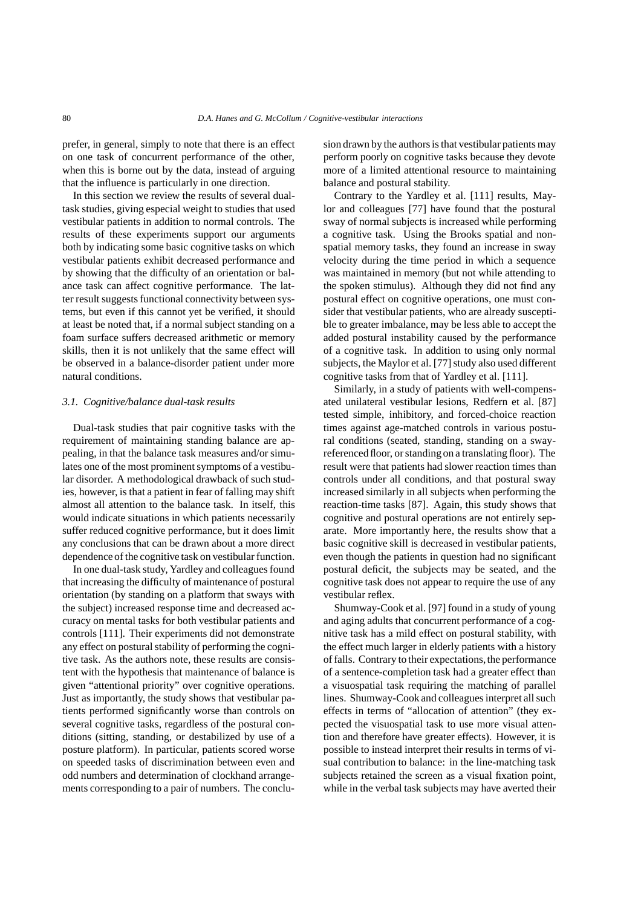prefer, in general, simply to note that there is an effect on one task of concurrent performance of the other, when this is borne out by the data, instead of arguing that the influence is particularly in one direction.

In this section we review the results of several dualtask studies, giving especial weight to studies that used vestibular patients in addition to normal controls. The results of these experiments support our arguments both by indicating some basic cognitive tasks on which vestibular patients exhibit decreased performance and by showing that the difficulty of an orientation or balance task can affect cognitive performance. The latter result suggests functional connectivity between systems, but even if this cannot yet be verified, it should at least be noted that, if a normal subject standing on a foam surface suffers decreased arithmetic or memory skills, then it is not unlikely that the same effect will be observed in a balance-disorder patient under more natural conditions.

## *3.1. Cognitive/balance dual-task results*

Dual-task studies that pair cognitive tasks with the requirement of maintaining standing balance are appealing, in that the balance task measures and/or simulates one of the most prominent symptoms of a vestibular disorder. A methodological drawback of such studies, however, is that a patient in fear of falling may shift almost all attention to the balance task. In itself, this would indicate situations in which patients necessarily suffer reduced cognitive performance, but it does limit any conclusions that can be drawn about a more direct dependence of the cognitive task on vestibular function.

In one dual-task study, Yardley and colleagues found that increasing the difficulty of maintenance of postural orientation (by standing on a platform that sways with the subject) increased response time and decreased accuracy on mental tasks for both vestibular patients and controls [111]. Their experiments did not demonstrate any effect on postural stability of performing the cognitive task. As the authors note, these results are consistent with the hypothesis that maintenance of balance is given "attentional priority" over cognitive operations. Just as importantly, the study shows that vestibular patients performed significantly worse than controls on several cognitive tasks, regardless of the postural conditions (sitting, standing, or destabilized by use of a posture platform). In particular, patients scored worse on speeded tasks of discrimination between even and odd numbers and determination of clockhand arrangements corresponding to a pair of numbers. The conclusion drawn by the authors is that vestibular patients may perform poorly on cognitive tasks because they devote more of a limited attentional resource to maintaining balance and postural stability.

Contrary to the Yardley et al. [111] results, Maylor and colleagues [77] have found that the postural sway of normal subjects is increased while performing a cognitive task. Using the Brooks spatial and nonspatial memory tasks, they found an increase in sway velocity during the time period in which a sequence was maintained in memory (but not while attending to the spoken stimulus). Although they did not find any postural effect on cognitive operations, one must consider that vestibular patients, who are already susceptible to greater imbalance, may be less able to accept the added postural instability caused by the performance of a cognitive task. In addition to using only normal subjects, the Maylor et al. [77] study also used different cognitive tasks from that of Yardley et al. [111].

Similarly, in a study of patients with well-compensated unilateral vestibular lesions, Redfern et al. [87] tested simple, inhibitory, and forced-choice reaction times against age-matched controls in various postural conditions (seated, standing, standing on a swayreferenced floor, or standing on a translating floor). The result were that patients had slower reaction times than controls under all conditions, and that postural sway increased similarly in all subjects when performing the reaction-time tasks [87]. Again, this study shows that cognitive and postural operations are not entirely separate. More importantly here, the results show that a basic cognitive skill is decreased in vestibular patients, even though the patients in question had no significant postural deficit, the subjects may be seated, and the cognitive task does not appear to require the use of any vestibular reflex.

Shumway-Cook et al. [97] found in a study of young and aging adults that concurrent performance of a cognitive task has a mild effect on postural stability, with the effect much larger in elderly patients with a history of falls. Contrary to their expectations,the performance of a sentence-completion task had a greater effect than a visuospatial task requiring the matching of parallel lines. Shumway-Cook and colleagues interpret all such effects in terms of "allocation of attention" (they expected the visuospatial task to use more visual attention and therefore have greater effects). However, it is possible to instead interpret their results in terms of visual contribution to balance: in the line-matching task subjects retained the screen as a visual fixation point, while in the verbal task subjects may have averted their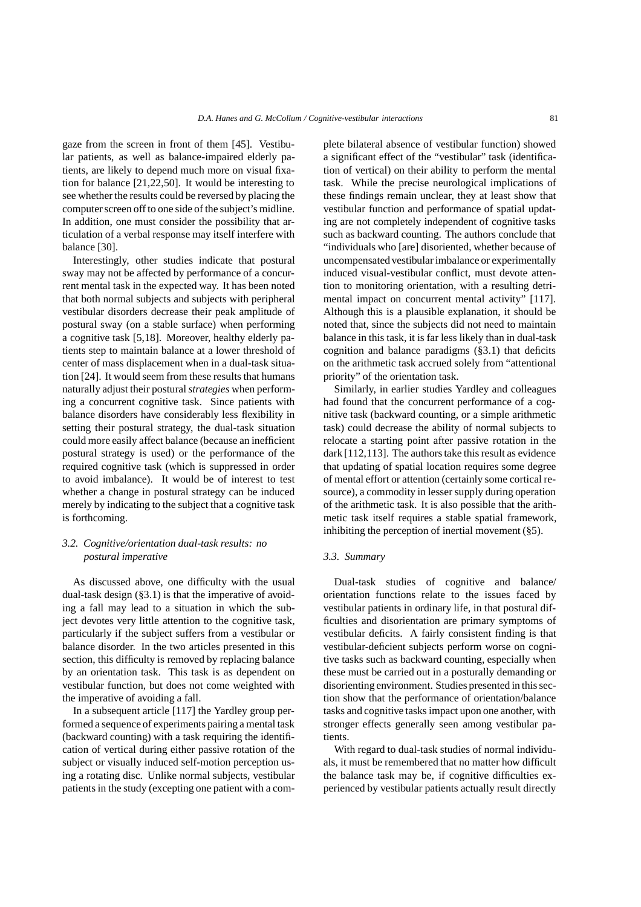gaze from the screen in front of them [45]. Vestibular patients, as well as balance-impaired elderly patients, are likely to depend much more on visual fixation for balance [21,22,50]. It would be interesting to see whether the results could be reversed by placing the computer screen off to one side of the subject's midline. In addition, one must consider the possibility that articulation of a verbal response may itself interfere with balance [30].

Interestingly, other studies indicate that postural sway may not be affected by performance of a concurrent mental task in the expected way. It has been noted that both normal subjects and subjects with peripheral vestibular disorders decrease their peak amplitude of postural sway (on a stable surface) when performing a cognitive task [5,18]. Moreover, healthy elderly patients step to maintain balance at a lower threshold of center of mass displacement when in a dual-task situation [24]. It would seem from these results that humans naturally adjust their postural*strategies* when performing a concurrent cognitive task. Since patients with balance disorders have considerably less flexibility in setting their postural strategy, the dual-task situation could more easily affect balance (because an inefficient postural strategy is used) or the performance of the required cognitive task (which is suppressed in order to avoid imbalance). It would be of interest to test whether a change in postural strategy can be induced merely by indicating to the subject that a cognitive task is forthcoming.

## *3.2. Cognitive/orientation dual-task results: no postural imperative*

As discussed above, one difficulty with the usual dual-task design (§3.1) is that the imperative of avoiding a fall may lead to a situation in which the subject devotes very little attention to the cognitive task, particularly if the subject suffers from a vestibular or balance disorder. In the two articles presented in this section, this difficulty is removed by replacing balance by an orientation task. This task is as dependent on vestibular function, but does not come weighted with the imperative of avoiding a fall.

In a subsequent article [117] the Yardley group performed a sequence of experiments pairing a mental task (backward counting) with a task requiring the identification of vertical during either passive rotation of the subject or visually induced self-motion perception using a rotating disc. Unlike normal subjects, vestibular patients in the study (excepting one patient with a complete bilateral absence of vestibular function) showed a significant effect of the "vestibular" task (identification of vertical) on their ability to perform the mental task. While the precise neurological implications of these findings remain unclear, they at least show that vestibular function and performance of spatial updating are not completely independent of cognitive tasks such as backward counting. The authors conclude that "individuals who [are] disoriented, whether because of uncompensated vestibular imbalance or experimentally induced visual-vestibular conflict, must devote attention to monitoring orientation, with a resulting detrimental impact on concurrent mental activity" [117]. Although this is a plausible explanation, it should be noted that, since the subjects did not need to maintain balance in this task, it is far less likely than in dual-task cognition and balance paradigms (§3.1) that deficits on the arithmetic task accrued solely from "attentional priority" of the orientation task.

Similarly, in earlier studies Yardley and colleagues had found that the concurrent performance of a cognitive task (backward counting, or a simple arithmetic task) could decrease the ability of normal subjects to relocate a starting point after passive rotation in the dark [112,113]. The authors take this result as evidence that updating of spatial location requires some degree of mental effort or attention (certainly some cortical resource), a commodity in lesser supply during operation of the arithmetic task. It is also possible that the arithmetic task itself requires a stable spatial framework, inhibiting the perception of inertial movement (§5).

## *3.3. Summary*

Dual-task studies of cognitive and balance/ orientation functions relate to the issues faced by vestibular patients in ordinary life, in that postural difficulties and disorientation are primary symptoms of vestibular deficits. A fairly consistent finding is that vestibular-deficient subjects perform worse on cognitive tasks such as backward counting, especially when these must be carried out in a posturally demanding or disorienting environment. Studies presented in this section show that the performance of orientation/balance tasks and cognitive tasks impact upon one another, with stronger effects generally seen among vestibular patients.

With regard to dual-task studies of normal individuals, it must be remembered that no matter how difficult the balance task may be, if cognitive difficulties experienced by vestibular patients actually result directly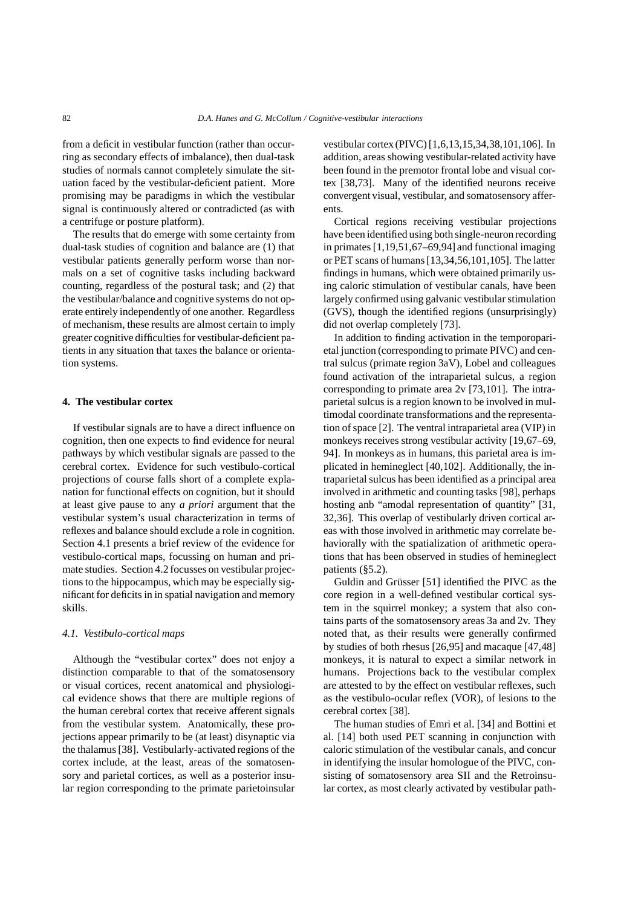from a deficit in vestibular function (rather than occurring as secondary effects of imbalance), then dual-task studies of normals cannot completely simulate the situation faced by the vestibular-deficient patient. More promising may be paradigms in which the vestibular signal is continuously altered or contradicted (as with a centrifuge or posture platform).

The results that do emerge with some certainty from dual-task studies of cognition and balance are (1) that vestibular patients generally perform worse than normals on a set of cognitive tasks including backward counting, regardless of the postural task; and (2) that the vestibular/balance and cognitive systems do not operate entirely independently of one another. Regardless of mechanism, these results are almost certain to imply greater cognitive difficulties for vestibular-deficient patients in any situation that taxes the balance or orientation systems.

## **4. The vestibular cortex**

If vestibular signals are to have a direct influence on cognition, then one expects to find evidence for neural pathways by which vestibular signals are passed to the cerebral cortex. Evidence for such vestibulo-cortical projections of course falls short of a complete explanation for functional effects on cognition, but it should at least give pause to any *a priori* argument that the vestibular system's usual characterization in terms of reflexes and balance should exclude a role in cognition. Section 4.1 presents a brief review of the evidence for vestibulo-cortical maps, focussing on human and primate studies. Section 4.2 focusses on vestibular projections to the hippocampus, which may be especially significant for deficits in in spatial navigation and memory skills.

#### *4.1. Vestibulo-cortical maps*

Although the "vestibular cortex" does not enjoy a distinction comparable to that of the somatosensory or visual cortices, recent anatomical and physiological evidence shows that there are multiple regions of the human cerebral cortex that receive afferent signals from the vestibular system. Anatomically, these projections appear primarily to be (at least) disynaptic via the thalamus [38]. Vestibularly-activated regions of the cortex include, at the least, areas of the somatosensory and parietal cortices, as well as a posterior insular region corresponding to the primate parietoinsular

vestibular cortex (PIVC) [1,6,13,15,34,38,101,106]. In addition, areas showing vestibular-related activity have been found in the premotor frontal lobe and visual cortex [38,73]. Many of the identified neurons receive convergent visual, vestibular, and somatosensory afferents.

Cortical regions receiving vestibular projections have been identified using both single-neuron recording in primates [1,19,51,67–69,94] and functional imaging or PET scans of humans [13,34,56,101,105]. The latter findings in humans, which were obtained primarily using caloric stimulation of vestibular canals, have been largely confirmed using galvanic vestibular stimulation (GVS), though the identified regions (unsurprisingly) did not overlap completely [73].

In addition to finding activation in the temporoparietal junction (corresponding to primate PIVC) and central sulcus (primate region 3aV), Lobel and colleagues found activation of the intraparietal sulcus, a region corresponding to primate area 2v [73,101]. The intraparietal sulcus is a region known to be involved in multimodal coordinate transformations and the representation of space [2]. The ventral intraparietal area (VIP) in monkeys receives strong vestibular activity [19,67–69, 94]. In monkeys as in humans, this parietal area is implicated in hemineglect [40,102]. Additionally, the intraparietal sulcus has been identified as a principal area involved in arithmetic and counting tasks [98], perhaps hosting anb "amodal representation of quantity" [31, 32,36]. This overlap of vestibularly driven cortical areas with those involved in arithmetic may correlate behaviorally with the spatialization of arithmetic operations that has been observed in studies of hemineglect patients (§5.2).

Guldin and Grüsser [51] identified the PIVC as the core region in a well-defined vestibular cortical system in the squirrel monkey; a system that also contains parts of the somatosensory areas 3a and 2v. They noted that, as their results were generally confirmed by studies of both rhesus [26,95] and macaque [47,48] monkeys, it is natural to expect a similar network in humans. Projections back to the vestibular complex are attested to by the effect on vestibular reflexes, such as the vestibulo-ocular reflex (VOR), of lesions to the cerebral cortex [38].

The human studies of Emri et al. [34] and Bottini et al. [14] both used PET scanning in conjunction with caloric stimulation of the vestibular canals, and concur in identifying the insular homologue of the PIVC, consisting of somatosensory area SII and the Retroinsular cortex, as most clearly activated by vestibular path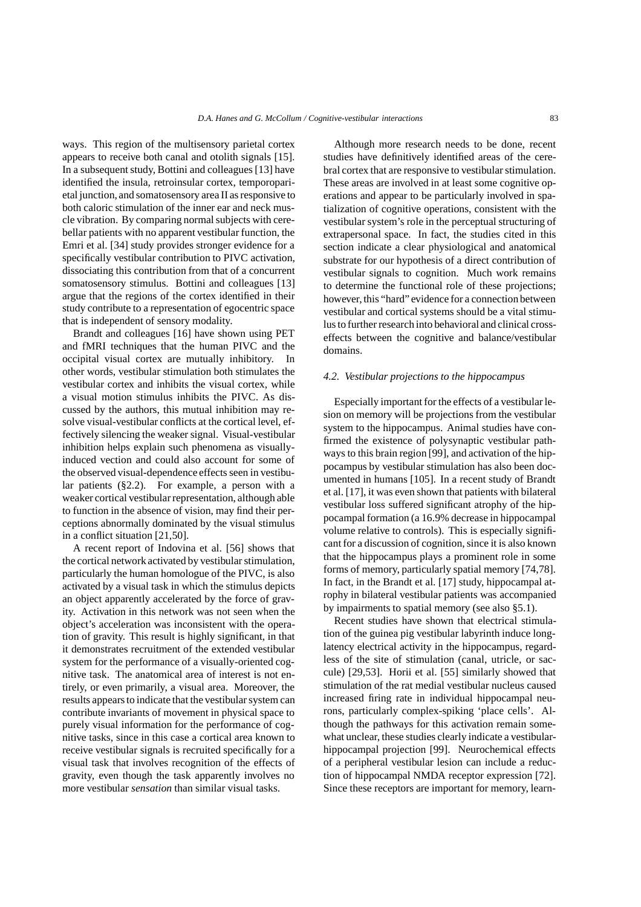ways. This region of the multisensory parietal cortex appears to receive both canal and otolith signals [15]. In a subsequent study, Bottini and colleagues [13] have identified the insula, retroinsular cortex, temporoparietal junction, and somatosensory area II as responsive to both caloric stimulation of the inner ear and neck muscle vibration. By comparing normal subjects with cerebellar patients with no apparent vestibular function, the Emri et al. [34] study provides stronger evidence for a specifically vestibular contribution to PIVC activation, dissociating this contribution from that of a concurrent somatosensory stimulus. Bottini and colleagues [13] argue that the regions of the cortex identified in their study contribute to a representation of egocentric space that is independent of sensory modality.

Brandt and colleagues [16] have shown using PET and fMRI techniques that the human PIVC and the occipital visual cortex are mutually inhibitory. In other words, vestibular stimulation both stimulates the vestibular cortex and inhibits the visual cortex, while a visual motion stimulus inhibits the PIVC. As discussed by the authors, this mutual inhibition may resolve visual-vestibular conflicts at the cortical level, effectively silencing the weaker signal. Visual-vestibular inhibition helps explain such phenomena as visuallyinduced vection and could also account for some of the observed visual-dependence effects seen in vestibular patients (§2.2). For example, a person with a weaker cortical vestibular representation, although able to function in the absence of vision, may find their perceptions abnormally dominated by the visual stimulus in a conflict situation [21,50].

A recent report of Indovina et al. [56] shows that the cortical network activated by vestibular stimulation, particularly the human homologue of the PIVC, is also activated by a visual task in which the stimulus depicts an object apparently accelerated by the force of gravity. Activation in this network was not seen when the object's acceleration was inconsistent with the operation of gravity. This result is highly significant, in that it demonstrates recruitment of the extended vestibular system for the performance of a visually-oriented cognitive task. The anatomical area of interest is not entirely, or even primarily, a visual area. Moreover, the results appears to indicate that the vestibular system can contribute invariants of movement in physical space to purely visual information for the performance of cognitive tasks, since in this case a cortical area known to receive vestibular signals is recruited specifically for a visual task that involves recognition of the effects of gravity, even though the task apparently involves no more vestibular *sensation* than similar visual tasks.

Although more research needs to be done, recent studies have definitively identified areas of the cerebral cortex that are responsive to vestibular stimulation. These areas are involved in at least some cognitive operations and appear to be particularly involved in spatialization of cognitive operations, consistent with the vestibular system's role in the perceptual structuring of extrapersonal space. In fact, the studies cited in this section indicate a clear physiological and anatomical substrate for our hypothesis of a direct contribution of vestibular signals to cognition. Much work remains to determine the functional role of these projections; however, this "hard" evidence for a connection between vestibular and cortical systems should be a vital stimulus to further research into behavioral and clinical crosseffects between the cognitive and balance/vestibular domains.

#### *4.2. Vestibular projections to the hippocampus*

Especially important for the effects of a vestibular lesion on memory will be projections from the vestibular system to the hippocampus. Animal studies have confirmed the existence of polysynaptic vestibular pathways to this brain region [99], and activation of the hippocampus by vestibular stimulation has also been documented in humans [105]. In a recent study of Brandt et al. [17], it was even shown that patients with bilateral vestibular loss suffered significant atrophy of the hippocampal formation (a 16.9% decrease in hippocampal volume relative to controls). This is especially significant for a discussion of cognition, since it is also known that the hippocampus plays a prominent role in some forms of memory, particularly spatial memory [74,78]. In fact, in the Brandt et al. [17] study, hippocampal atrophy in bilateral vestibular patients was accompanied by impairments to spatial memory (see also §5.1).

Recent studies have shown that electrical stimulation of the guinea pig vestibular labyrinth induce longlatency electrical activity in the hippocampus, regardless of the site of stimulation (canal, utricle, or saccule) [29,53]. Horii et al. [55] similarly showed that stimulation of the rat medial vestibular nucleus caused increased firing rate in individual hippocampal neurons, particularly complex-spiking 'place cells'. Although the pathways for this activation remain somewhat unclear, these studies clearly indicate a vestibularhippocampal projection [99]. Neurochemical effects of a peripheral vestibular lesion can include a reduction of hippocampal NMDA receptor expression [72]. Since these receptors are important for memory, learn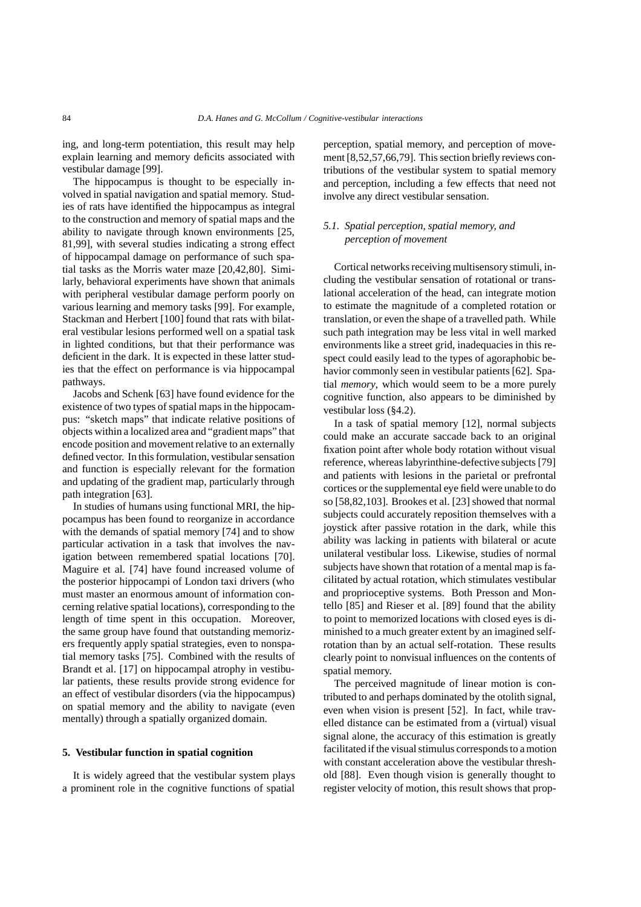ing, and long-term potentiation, this result may help explain learning and memory deficits associated with vestibular damage [99].

The hippocampus is thought to be especially involved in spatial navigation and spatial memory. Studies of rats have identified the hippocampus as integral to the construction and memory of spatial maps and the ability to navigate through known environments [25, 81,99], with several studies indicating a strong effect of hippocampal damage on performance of such spatial tasks as the Morris water maze [20,42,80]. Similarly, behavioral experiments have shown that animals with peripheral vestibular damage perform poorly on various learning and memory tasks [99]. For example, Stackman and Herbert [100] found that rats with bilateral vestibular lesions performed well on a spatial task in lighted conditions, but that their performance was deficient in the dark. It is expected in these latter studies that the effect on performance is via hippocampal pathways.

Jacobs and Schenk [63] have found evidence for the existence of two types of spatial maps in the hippocampus: "sketch maps" that indicate relative positions of objects within a localized area and "gradient maps" that encode position and movement relative to an externally defined vector. In this formulation, vestibular sensation and function is especially relevant for the formation and updating of the gradient map, particularly through path integration [63].

In studies of humans using functional MRI, the hippocampus has been found to reorganize in accordance with the demands of spatial memory [74] and to show particular activation in a task that involves the navigation between remembered spatial locations [70]. Maguire et al. [74] have found increased volume of the posterior hippocampi of London taxi drivers (who must master an enormous amount of information concerning relative spatial locations), corresponding to the length of time spent in this occupation. Moreover, the same group have found that outstanding memorizers frequently apply spatial strategies, even to nonspatial memory tasks [75]. Combined with the results of Brandt et al. [17] on hippocampal atrophy in vestibular patients, these results provide strong evidence for an effect of vestibular disorders (via the hippocampus) on spatial memory and the ability to navigate (even mentally) through a spatially organized domain.

## **5. Vestibular function in spatial cognition**

It is widely agreed that the vestibular system plays a prominent role in the cognitive functions of spatial

perception, spatial memory, and perception of movement [8,52,57,66,79]. This section briefly reviews contributions of the vestibular system to spatial memory and perception, including a few effects that need not involve any direct vestibular sensation.

# *5.1. Spatial perception, spatial memory, and perception of movement*

Cortical networks receiving multisensory stimuli, including the vestibular sensation of rotational or translational acceleration of the head, can integrate motion to estimate the magnitude of a completed rotation or translation, or even the shape of a travelled path. While such path integration may be less vital in well marked environments like a street grid, inadequacies in this respect could easily lead to the types of agoraphobic behavior commonly seen in vestibular patients [62]. Spatial *memory*, which would seem to be a more purely cognitive function, also appears to be diminished by vestibular loss (§4.2).

In a task of spatial memory [12], normal subjects could make an accurate saccade back to an original fixation point after whole body rotation without visual reference, whereas labyrinthine-defective subjects [79] and patients with lesions in the parietal or prefrontal cortices or the supplemental eye field were unable to do so [58,82,103]. Brookes et al. [23] showed that normal subjects could accurately reposition themselves with a joystick after passive rotation in the dark, while this ability was lacking in patients with bilateral or acute unilateral vestibular loss. Likewise, studies of normal subjects have shown that rotation of a mental map is facilitated by actual rotation, which stimulates vestibular and proprioceptive systems. Both Presson and Montello [85] and Rieser et al. [89] found that the ability to point to memorized locations with closed eyes is diminished to a much greater extent by an imagined selfrotation than by an actual self-rotation. These results clearly point to nonvisual influences on the contents of spatial memory.

The perceived magnitude of linear motion is contributed to and perhaps dominated by the otolith signal, even when vision is present [52]. In fact, while travelled distance can be estimated from a (virtual) visual signal alone, the accuracy of this estimation is greatly facilitated if the visual stimulus corresponds to a motion with constant acceleration above the vestibular threshold [88]. Even though vision is generally thought to register velocity of motion, this result shows that prop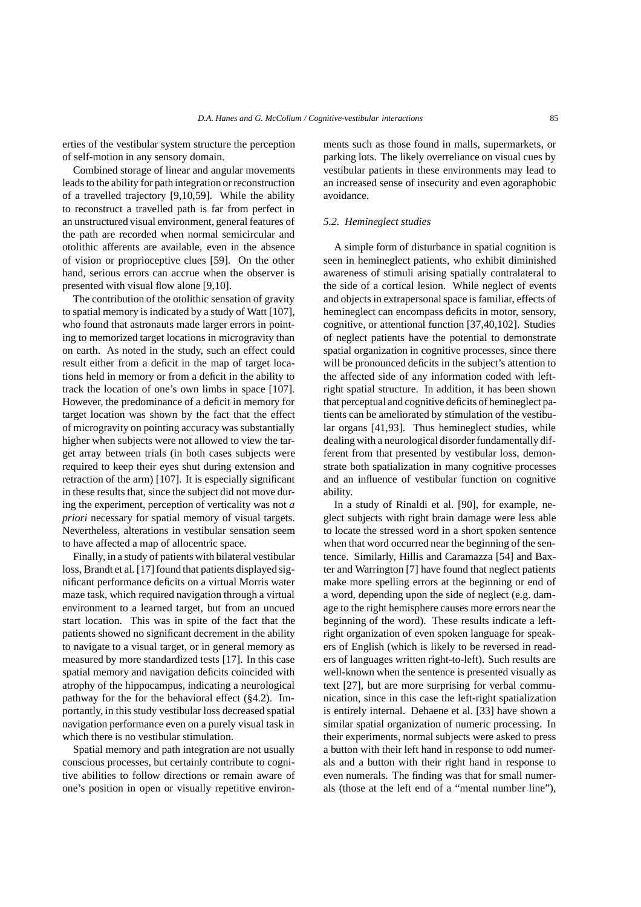erties of the vestibular system structure the perception of self-motion in any sensory domain.

Combined storage of linear and angular movements leads to the ability for path integration or reconstruction of a travelled trajectory [9,10,59]. While the ability to reconstruct a travelled path is far from perfect in an unstructured visual environment, general features of the path are recorded when normal semicircular and otolithic afferents are available, even in the absence of vision or proprioceptive clues [59]. On the other hand, serious errors can accrue when the observer is presented with visual flow alone [9,10].

The contribution of the otolithic sensation of gravity to spatial memory is indicated by a study of Watt [107], who found that astronauts made larger errors in pointing to memorized target locations in microgravity than on earth. As noted in the study, such an effect could result either from a deficit in the map of target locations held in memory or from a deficit in the ability to track the location of one's own limbs in space [107]. However, the predominance of a deficit in memory for target location was shown by the fact that the effect of microgravity on pointing accuracy was substantially higher when subjects were not allowed to view the target array between trials (in both cases subjects were required to keep their eyes shut during extension and retraction of the arm) [107]. It is especially significant in these results that, since the subject did not move during the experiment, perception of verticality was not *a priori* necessary for spatial memory of visual targets. Nevertheless, alterations in vestibular sensation seem to have affected a map of allocentric space.

Finally, in a study of patients with bilateral vestibular loss, Brandt et al. [17] found that patients displayed significant performance deficits on a virtual Morris water maze task, which required navigation through a virtual environment to a learned target, but from an uncued start location. This was in spite of the fact that the patients showed no significant decrement in the ability to navigate to a visual target, or in general memory as measured by more standardized tests [17]. In this case spatial memory and navigation deficits coincided with atrophy of the hippocampus, indicating a neurological pathway for the for the behavioral effect (§4.2). Importantly, in this study vestibular loss decreased spatial navigation performance even on a purely visual task in which there is no vestibular stimulation.

Spatial memory and path integration are not usually conscious processes, but certainly contribute to cognitive abilities to follow directions or remain aware of one's position in open or visually repetitive environments such as those found in malls, supermarkets, or parking lots. The likely overreliance on visual cues by vestibular patients in these environments may lead to an increased sense of insecurity and even agoraphobic avoidance.

# *5.2. Hemineglect studies*

A simple form of disturbance in spatial cognition is seen in hemineglect patients, who exhibit diminished awareness of stimuli arising spatially contralateral to the side of a cortical lesion. While neglect of events and objects in extrapersonal space is familiar, effects of hemineglect can encompass deficits in motor, sensory, cognitive, or attentional function [37,40,102]. Studies of neglect patients have the potential to demonstrate spatial organization in cognitive processes, since there will be pronounced deficits in the subject's attention to the affected side of any information coded with leftright spatial structure. In addition, it has been shown that perceptual and cognitive deficits of hemineglect patients can be ameliorated by stimulation of the vestibular organs [41,93]. Thus hemineglect studies, while dealing with a neurological disorder fundamentally different from that presented by vestibular loss, demonstrate both spatialization in many cognitive processes and an influence of vestibular function on cognitive ability.

In a study of Rinaldi et al. [90], for example, neglect subjects with right brain damage were less able to locate the stressed word in a short spoken sentence when that word occurred near the beginning of the sentence. Similarly, Hillis and Caramazza [54] and Baxter and Warrington [7] have found that neglect patients make more spelling errors at the beginning or end of a word, depending upon the side of neglect (e.g. damage to the right hemisphere causes more errors near the beginning of the word). These results indicate a leftright organization of even spoken language for speakers of English (which is likely to be reversed in readers of languages written right-to-left). Such results are well-known when the sentence is presented visually as text [27], but are more surprising for verbal communication, since in this case the left-right spatialization is entirely internal. Dehaene et al. [33] have shown a similar spatial organization of numeric processing. In their experiments, normal subjects were asked to press a button with their left hand in response to odd numerals and a button with their right hand in response to even numerals. The finding was that for small numerals (those at the left end of a "mental number line"),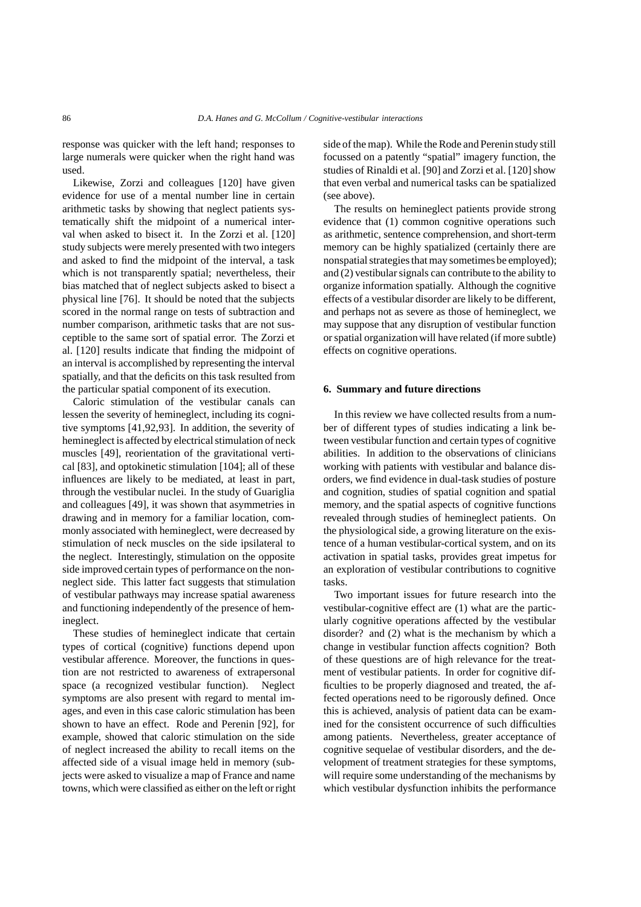response was quicker with the left hand; responses to large numerals were quicker when the right hand was used.

Likewise, Zorzi and colleagues [120] have given evidence for use of a mental number line in certain arithmetic tasks by showing that neglect patients systematically shift the midpoint of a numerical interval when asked to bisect it. In the Zorzi et al. [120] study subjects were merely presented with two integers and asked to find the midpoint of the interval, a task which is not transparently spatial; nevertheless, their bias matched that of neglect subjects asked to bisect a physical line [76]. It should be noted that the subjects scored in the normal range on tests of subtraction and number comparison, arithmetic tasks that are not susceptible to the same sort of spatial error. The Zorzi et al. [120] results indicate that finding the midpoint of an interval is accomplished by representing the interval spatially, and that the deficits on this task resulted from the particular spatial component of its execution.

Caloric stimulation of the vestibular canals can lessen the severity of hemineglect, including its cognitive symptoms [41,92,93]. In addition, the severity of hemineglect is affected by electrical stimulation of neck muscles [49], reorientation of the gravitational vertical [83], and optokinetic stimulation [104]; all of these influences are likely to be mediated, at least in part, through the vestibular nuclei. In the study of Guariglia and colleagues [49], it was shown that asymmetries in drawing and in memory for a familiar location, commonly associated with hemineglect, were decreased by stimulation of neck muscles on the side ipsilateral to the neglect. Interestingly, stimulation on the opposite side improved certain types of performance on the nonneglect side. This latter fact suggests that stimulation of vestibular pathways may increase spatial awareness and functioning independently of the presence of hemineglect.

These studies of hemineglect indicate that certain types of cortical (cognitive) functions depend upon vestibular afference. Moreover, the functions in question are not restricted to awareness of extrapersonal space (a recognized vestibular function). Neglect symptoms are also present with regard to mental images, and even in this case caloric stimulation has been shown to have an effect. Rode and Perenin [92], for example, showed that caloric stimulation on the side of neglect increased the ability to recall items on the affected side of a visual image held in memory (subjects were asked to visualize a map of France and name towns, which were classified as either on the left or right side of the map). While the Rode and Perenin study still focussed on a patently "spatial" imagery function, the studies of Rinaldi et al. [90] and Zorzi et al. [120] show that even verbal and numerical tasks can be spatialized (see above).

The results on hemineglect patients provide strong evidence that (1) common cognitive operations such as arithmetic, sentence comprehension, and short-term memory can be highly spatialized (certainly there are nonspatial strategies that may sometimes be employed); and (2) vestibular signals can contribute to the ability to organize information spatially. Although the cognitive effects of a vestibular disorder are likely to be different, and perhaps not as severe as those of hemineglect, we may suppose that any disruption of vestibular function or spatial organization will have related (if more subtle) effects on cognitive operations.

#### **6. Summary and future directions**

In this review we have collected results from a number of different types of studies indicating a link between vestibular function and certain types of cognitive abilities. In addition to the observations of clinicians working with patients with vestibular and balance disorders, we find evidence in dual-task studies of posture and cognition, studies of spatial cognition and spatial memory, and the spatial aspects of cognitive functions revealed through studies of hemineglect patients. On the physiological side, a growing literature on the existence of a human vestibular-cortical system, and on its activation in spatial tasks, provides great impetus for an exploration of vestibular contributions to cognitive tasks.

Two important issues for future research into the vestibular-cognitive effect are (1) what are the particularly cognitive operations affected by the vestibular disorder? and (2) what is the mechanism by which a change in vestibular function affects cognition? Both of these questions are of high relevance for the treatment of vestibular patients. In order for cognitive difficulties to be properly diagnosed and treated, the affected operations need to be rigorously defined. Once this is achieved, analysis of patient data can be examined for the consistent occurrence of such difficulties among patients. Nevertheless, greater acceptance of cognitive sequelae of vestibular disorders, and the development of treatment strategies for these symptoms, will require some understanding of the mechanisms by which vestibular dysfunction inhibits the performance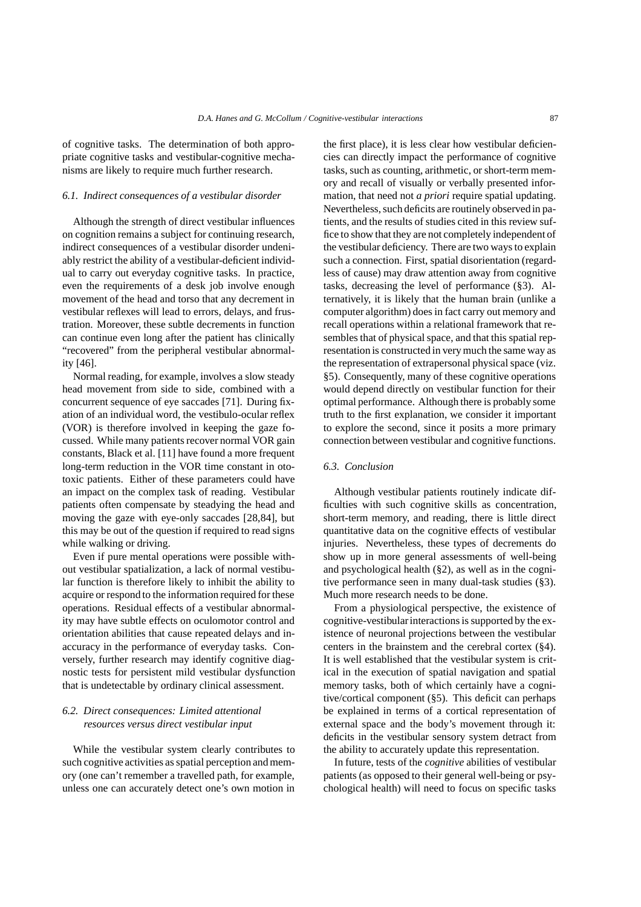of cognitive tasks. The determination of both appropriate cognitive tasks and vestibular-cognitive mechanisms are likely to require much further research.

## *6.1. Indirect consequences of a vestibular disorder*

Although the strength of direct vestibular influences on cognition remains a subject for continuing research, indirect consequences of a vestibular disorder undeniably restrict the ability of a vestibular-deficient individual to carry out everyday cognitive tasks. In practice, even the requirements of a desk job involve enough movement of the head and torso that any decrement in vestibular reflexes will lead to errors, delays, and frustration. Moreover, these subtle decrements in function can continue even long after the patient has clinically "recovered" from the peripheral vestibular abnormality [46].

Normal reading, for example, involves a slow steady head movement from side to side, combined with a concurrent sequence of eye saccades [71]. During fixation of an individual word, the vestibulo-ocular reflex (VOR) is therefore involved in keeping the gaze focussed. While many patients recover normal VOR gain constants, Black et al. [11] have found a more frequent long-term reduction in the VOR time constant in ototoxic patients. Either of these parameters could have an impact on the complex task of reading. Vestibular patients often compensate by steadying the head and moving the gaze with eye-only saccades [28,84], but this may be out of the question if required to read signs while walking or driving.

Even if pure mental operations were possible without vestibular spatialization, a lack of normal vestibular function is therefore likely to inhibit the ability to acquire or respond to the information required for these operations. Residual effects of a vestibular abnormality may have subtle effects on oculomotor control and orientation abilities that cause repeated delays and inaccuracy in the performance of everyday tasks. Conversely, further research may identify cognitive diagnostic tests for persistent mild vestibular dysfunction that is undetectable by ordinary clinical assessment.

# *6.2. Direct consequences: Limited attentional resources versus direct vestibular input*

While the vestibular system clearly contributes to such cognitive activities as spatial perception and memory (one can't remember a travelled path, for example, unless one can accurately detect one's own motion in the first place), it is less clear how vestibular deficiencies can directly impact the performance of cognitive tasks, such as counting, arithmetic, or short-term memory and recall of visually or verbally presented information, that need not *a priori* require spatial updating. Nevertheless, such deficits are routinely observed in patients, and the results of studies cited in this review suffice to show that they are not completely independent of the vestibular deficiency. There are two ways to explain such a connection. First, spatial disorientation (regardless of cause) may draw attention away from cognitive tasks, decreasing the level of performance (§3). Alternatively, it is likely that the human brain (unlike a computer algorithm) does in fact carry out memory and recall operations within a relational framework that resembles that of physical space, and that this spatial representation is constructed in very much the same way as the representation of extrapersonal physical space (viz. §5). Consequently, many of these cognitive operations would depend directly on vestibular function for their optimal performance. Although there is probably some truth to the first explanation, we consider it important to explore the second, since it posits a more primary connection between vestibular and cognitive functions.

# *6.3. Conclusion*

Although vestibular patients routinely indicate difficulties with such cognitive skills as concentration, short-term memory, and reading, there is little direct quantitative data on the cognitive effects of vestibular injuries. Nevertheless, these types of decrements do show up in more general assessments of well-being and psychological health (§2), as well as in the cognitive performance seen in many dual-task studies (§3). Much more research needs to be done.

From a physiological perspective, the existence of cognitive-vestibularinteractions is supported by the existence of neuronal projections between the vestibular centers in the brainstem and the cerebral cortex (§4). It is well established that the vestibular system is critical in the execution of spatial navigation and spatial memory tasks, both of which certainly have a cognitive/cortical component (§5). This deficit can perhaps be explained in terms of a cortical representation of external space and the body's movement through it: deficits in the vestibular sensory system detract from the ability to accurately update this representation.

In future, tests of the *cognitive* abilities of vestibular patients (as opposed to their general well-being or psychological health) will need to focus on specific tasks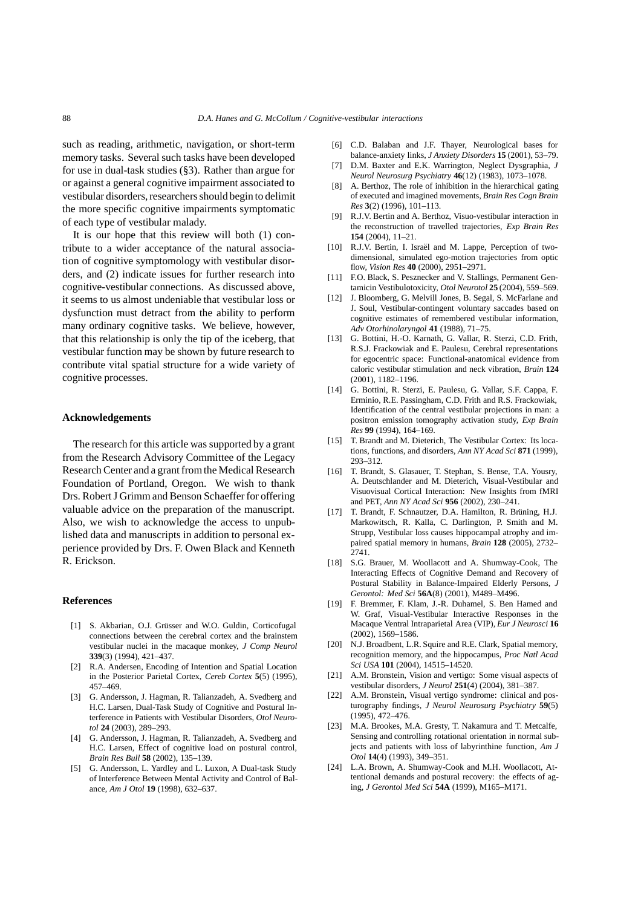such as reading, arithmetic, navigation, or short-term memory tasks. Several such tasks have been developed for use in dual-task studies (§3). Rather than argue for or against a general cognitive impairment associated to vestibular disorders, researchers should begin to delimit the more specific cognitive impairments symptomatic of each type of vestibular malady.

It is our hope that this review will both (1) contribute to a wider acceptance of the natural association of cognitive symptomology with vestibular disorders, and (2) indicate issues for further research into cognitive-vestibular connections. As discussed above, it seems to us almost undeniable that vestibular loss or dysfunction must detract from the ability to perform many ordinary cognitive tasks. We believe, however, that this relationship is only the tip of the iceberg, that vestibular function may be shown by future research to contribute vital spatial structure for a wide variety of cognitive processes.

## **Acknowledgements**

The research for this article was supported by a grant from the Research Advisory Committee of the Legacy Research Center and a grant from the Medical Research Foundation of Portland, Oregon. We wish to thank Drs. Robert J Grimm and Benson Schaeffer for offering valuable advice on the preparation of the manuscript. Also, we wish to acknowledge the access to unpublished data and manuscripts in addition to personal experience provided by Drs. F. Owen Black and Kenneth R. Erickson.

#### **References**

- [1] S. Akbarian, O.J. Grüsser and W.O. Guldin, Corticofugal connections between the cerebral cortex and the brainstem vestibular nuclei in the macaque monkey, *J Comp Neurol* **339**(3) (1994), 421–437.
- [2] R.A. Andersen, Encoding of Intention and Spatial Location in the Posterior Parietal Cortex, *Cereb Cortex* **5**(5) (1995), 457–469.
- [3] G. Andersson, J. Hagman, R. Talianzadeh, A. Svedberg and H.C. Larsen, Dual-Task Study of Cognitive and Postural Interference in Patients with Vestibular Disorders, *Otol Neurotol* **24** (2003), 289–293.
- [4] G. Andersson, J. Hagman, R. Talianzadeh, A. Svedberg and H.C. Larsen, Effect of cognitive load on postural control, *Brain Res Bull* **58** (2002), 135–139.
- [5] G. Andersson, L. Yardley and L. Luxon, A Dual-task Study of Interference Between Mental Activity and Control of Balance, *Am J Otol* **19** (1998), 632–637.
- [6] C.D. Balaban and J.F. Thayer, Neurological bases for balance-anxiety links, *J Anxiety Disorders* **15** (2001), 53–79.
- [7] D.M. Baxter and E.K. Warrington, Neglect Dysgraphia, *J Neurol Neurosurg Psychiatry* **46**(12) (1983), 1073–1078.
- [8] A. Berthoz, The role of inhibition in the hierarchical gating of executed and imagined movements, *Brain Res Cogn Brain Res* **3**(2) (1996), 101–113.
- [9] R.J.V. Bertin and A. Berthoz, Visuo-vestibular interaction in the reconstruction of travelled trajectories, *Exp Brain Res* **154** (2004), 11–21.
- [10] R.J.V. Bertin, I. Israël and M. Lappe, Perception of twodimensional, simulated ego-motion trajectories from optic flow, *Vision Res* **40** (2000), 2951–2971.
- [11] F.O. Black, S. Pesznecker and V. Stallings, Permanent Gentamicin Vestibulotoxicity, *Otol Neurotol* **25** (2004), 559–569.
- [12] J. Bloomberg, G. Melvill Jones, B. Segal, S. McFarlane and J. Soul, Vestibular-contingent voluntary saccades based on cognitive estimates of remembered vestibular information, *Adv Otorhinolaryngol* **41** (1988), 71–75.
- [13] G. Bottini, H.-O. Karnath, G. Vallar, R. Sterzi, C.D. Frith, R.S.J. Frackowiak and E. Paulesu, Cerebral representations for egocentric space: Functional-anatomical evidence from caloric vestibular stimulation and neck vibration, *Brain* **124** (2001), 1182–1196.
- [14] G. Bottini, R. Sterzi, E. Paulesu, G. Vallar, S.F. Cappa, F. Erminio, R.E. Passingham, C.D. Frith and R.S. Frackowiak, Identification of the central vestibular projections in man: a positron emission tomography activation study, *Exp Brain Res* **99** (1994), 164–169.
- [15] T. Brandt and M. Dieterich, The Vestibular Cortex: Its locations, functions, and disorders, *Ann NY Acad Sci* **871** (1999), 293–312.
- [16] T. Brandt, S. Glasauer, T. Stephan, S. Bense, T.A. Yousry, A. Deutschlander and M. Dieterich, Visual-Vestibular and Visuovisual Cortical Interaction: New Insights from fMRI and PET, *Ann NY Acad Sci* **956** (2002), 230–241.
- [17] T. Brandt, F. Schnautzer, D.A. Hamilton, R. Brüning, H.J. Markowitsch, R. Kalla, C. Darlington, P. Smith and M. Strupp, Vestibular loss causes hippocampal atrophy and impaired spatial memory in humans, *Brain* **128** (2005), 2732– 2741.
- [18] S.G. Brauer, M. Woollacott and A. Shumway-Cook, The Interacting Effects of Cognitive Demand and Recovery of Postural Stability in Balance-Impaired Elderly Persons, *J Gerontol: Med Sci* **56A**(8) (2001), M489–M496.
- [19] F. Bremmer, F. Klam, J.-R. Duhamel, S. Ben Hamed and W. Graf, Visual-Vestibular Interactive Responses in the Macaque Ventral Intraparietal Area (VIP), *Eur J Neurosci* **16** (2002), 1569–1586.
- [20] N.J. Broadbent, L.R. Squire and R.E. Clark, Spatial memory, recognition memory, and the hippocampus, *Proc Natl Acad Sci USA* **101** (2004), 14515–14520.
- [21] A.M. Bronstein, Vision and vertigo: Some visual aspects of vestibular disorders, *J Neurol* **251**(4) (2004), 381–387.
- [22] A.M. Bronstein, Visual vertigo syndrome: clinical and posturography findings, *J Neurol Neurosurg Psychiatry* **59**(5) (1995), 472–476.
- [23] M.A. Brookes, M.A. Gresty, T. Nakamura and T. Metcalfe, Sensing and controlling rotational orientation in normal subjects and patients with loss of labyrinthine function, *Am J Otol* **14**(4) (1993), 349–351.
- [24] L.A. Brown, A. Shumway-Cook and M.H. Woollacott, Attentional demands and postural recovery: the effects of aging, *J Gerontol Med Sci* **54A** (1999), M165–M171.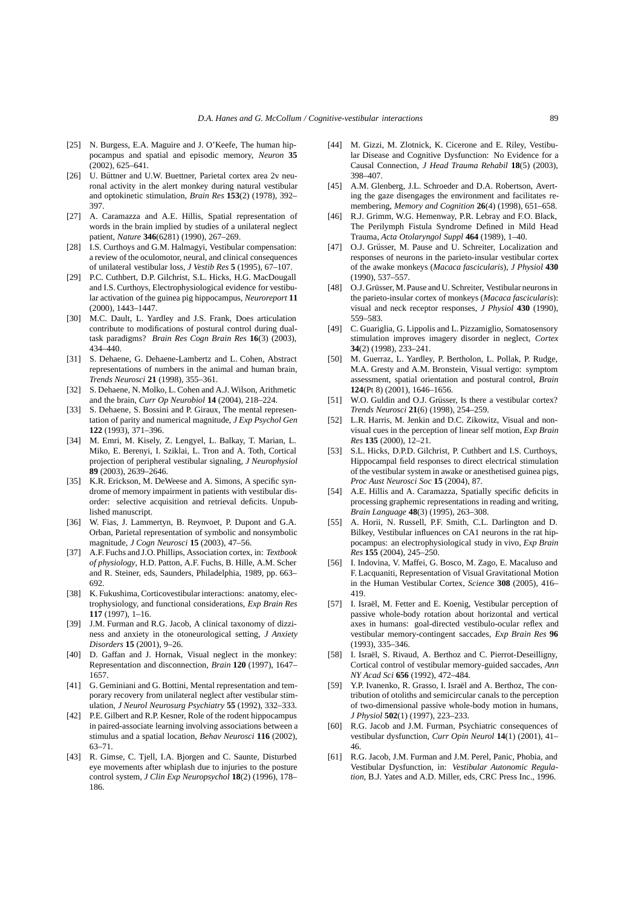- [25] N. Burgess, E.A. Maguire and J. O'Keefe, The human hippocampus and spatial and episodic memory, *Neuron* **35** (2002), 625–641.
- [26] U. Büttner and U.W. Buettner, Parietal cortex area 2v neuronal activity in the alert monkey during natural vestibular and optokinetic stimulation, *Brain Res* **153**(2) (1978), 392– 397.
- [27] A. Caramazza and A.E. Hillis, Spatial representation of words in the brain implied by studies of a unilateral neglect patient, *Nature* **346**(6281) (1990), 267–269.
- [28] I.S. Curthoys and G.M. Halmagyi, Vestibular compensation: a review of the oculomotor, neural, and clinical consequences of unilateral vestibular loss, *J Vestib Res* **5** (1995), 67–107.
- [29] P.C. Cuthbert, D.P. Gilchrist, S.L. Hicks, H.G. MacDougall and I.S. Curthoys, Electrophysiological evidence for vestibular activation of the guinea pig hippocampus, *Neuroreport* **11** (2000), 1443–1447.
- [30] M.C. Dault, L. Yardley and J.S. Frank, Does articulation contribute to modifications of postural control during dualtask paradigms? *Brain Res Cogn Brain Res* **16**(3) (2003), 434–440.
- [31] S. Dehaene, G. Dehaene-Lambertz and L. Cohen, Abstract representations of numbers in the animal and human brain, *Trends Neurosci* **21** (1998), 355–361.
- [32] S. Dehaene, N. Molko, L. Cohen and A.J. Wilson, Arithmetic and the brain, *Curr Op Neurobiol* **14** (2004), 218–224.
- [33] S. Dehaene, S. Bossini and P. Giraux, The mental representation of parity and numerical magnitude, *J Exp Psychol Gen* **122** (1993), 371–396.
- [34] M. Emri, M. Kisely, Z. Lengyel, L. Balkay, T. Marian, L. Miko, E. Berenyi, I. Sziklai, L. Tron and A. Toth, Cortical projection of peripheral vestibular signaling, *J Neurophysiol* **89** (2003), 2639–2646.
- [35] K.R. Erickson, M. DeWeese and A. Simons, A specific syndrome of memory impairment in patients with vestibular disorder: selective acquisition and retrieval deficits. Unpublished manuscript.
- [36] W. Fias, J. Lammertyn, B. Reynvoet, P. Dupont and G.A. Orban, Parietal representation of symbolic and nonsymbolic magnitude, *J Cogn Neurosci* **15** (2003), 47–56.
- [37] A.F. Fuchs and J.O. Phillips, Association cortex, in: *Textbook of physiology*, H.D. Patton, A.F. Fuchs, B. Hille, A.M. Scher and R. Steiner, eds, Saunders, Philadelphia, 1989, pp. 663– 692.
- [38] K. Fukushima, Corticovestibular interactions: anatomy, electrophysiology, and functional considerations, *Exp Brain Res* **117** (1997), 1–16.
- [39] J.M. Furman and R.G. Jacob, A clinical taxonomy of dizziness and anxiety in the otoneurological setting, *J Anxiety Disorders* **15** (2001), 9–26.
- [40] D. Gaffan and J. Hornak, Visual neglect in the monkey: Representation and disconnection, *Brain* **120** (1997), 1647– 1657.
- [41] G. Geminiani and G. Bottini, Mental representation and temporary recovery from unilateral neglect after vestibular stimulation, *J Neurol Neurosurg Psychiatry* **55** (1992), 332–333.
- [42] P.E. Gilbert and R.P. Kesner, Role of the rodent hippocampus in paired-associate learning involving associations between a stimulus and a spatial location, *Behav Neurosci* **116** (2002), 63–71.
- [43] R. Gimse, C. Tjell, I.A. Bjorgen and C. Saunte, Disturbed eye movements after whiplash due to injuries to the posture control system, *J Clin Exp Neuropsychol* **18**(2) (1996), 178– 186.
- [44] M. Gizzi, M. Zlotnick, K. Cicerone and E. Riley, Vestibular Disease and Cognitive Dysfunction: No Evidence for a Causal Connection, *J Head Trauma Rehabil* **18**(5) (2003), 398–407.
- [45] A.M. Glenberg, J.L. Schroeder and D.A. Robertson, Averting the gaze disengages the environment and facilitates remembering, *Memory and Cognition* **26**(4) (1998), 651–658.
- [46] R.J. Grimm, W.G. Hemenway, P.R. Lebray and F.O. Black, The Perilymph Fistula Syndrome Defined in Mild Head Trauma, *Acta Otolaryngol Suppl* **464** (1989), 1–40.
- [47] O.J. Grüsser, M. Pause and U. Schreiter, Localization and responses of neurons in the parieto-insular vestibular cortex of the awake monkeys (*Macaca fascicularis*), *J Physiol* **430** (1990), 537–557.
- [48] O.J. Grüsser, M. Pause and U. Schreiter, Vestibular neurons in the parieto-insular cortex of monkeys (*Macaca fascicularis*): visual and neck receptor responses, *J Physiol* **430** (1990), 559–583.
- [49] C. Guariglia, G. Lippolis and L. Pizzamiglio, Somatosensory stimulation improves imagery disorder in neglect, *Cortex* **34**(2) (1998), 233–241.
- [50] M. Guerraz, L. Yardley, P. Bertholon, L. Pollak, P. Rudge, M.A. Gresty and A.M. Bronstein, Visual vertigo: symptom assessment, spatial orientation and postural control, *Brain* **124**(Pt 8) (2001), 1646–1656.
- [51] W.O. Guldin and O.J. Grüsser, Is there a vestibular cortex? *Trends Neurosci* **21**(6) (1998), 254–259.
- [52] L.R. Harris, M. Jenkin and D.C. Zikowitz, Visual and nonvisual cues in the perception of linear self motion, *Exp Brain Res* **135** (2000), 12–21.
- [53] S.L. Hicks, D.P.D. Gilchrist, P. Cuthbert and I.S. Curthoys, Hippocampal field responses to direct electrical stimulation of the vestibular system in awake or anesthetised guinea pigs, *Proc Aust Neurosci Soc* **15** (2004), 87.
- [54] A.E. Hillis and A. Caramazza, Spatially specific deficits in processing graphemic representations in reading and writing, *Brain Language* **48**(3) (1995), 263–308.
- [55] A. Horii, N. Russell, P.F. Smith, C.L. Darlington and D. Bilkey, Vestibular influences on CA1 neurons in the rat hippocampus: an electrophysiological study in vivo, *Exp Brain Res* **155** (2004), 245–250.
- [56] I. Indovina, V. Maffei, G. Bosco, M. Zago, E. Macaluso and F. Lacquaniti, Representation of Visual Gravitational Motion in the Human Vestibular Cortex, *Science* **308** (2005), 416– 419.
- [57] I. Israël, M. Fetter and E. Koenig, Vestibular perception of passive whole-body rotation about horizontal and vertical axes in humans: goal-directed vestibulo-ocular reflex and vestibular memory-contingent saccades, *Exp Brain Res* **96** (1993), 335–346.
- [58] I. Israël, S. Rivaud, A. Berthoz and C. Pierrot-Deseilligny, Cortical control of vestibular memory-guided saccades, *Ann NY Acad Sci* **656** (1992), 472–484.
- [59] Y.P. Ivanenko, R. Grasso, I. Israël and A. Berthoz, The contribution of otoliths and semicircular canals to the perception of two-dimensional passive whole-body motion in humans, *J Physiol* **502**(1) (1997), 223–233.
- [60] R.G. Jacob and J.M. Furman, Psychiatric consequences of vestibular dysfunction, *Curr Opin Neurol* **14**(1) (2001), 41– 46.
- [61] R.G. Jacob, J.M. Furman and J.M. Perel, Panic, Phobia, and Vestibular Dysfunction, in: *Vestibular Autonomic Regulation*, B.J. Yates and A.D. Miller, eds, CRC Press Inc., 1996.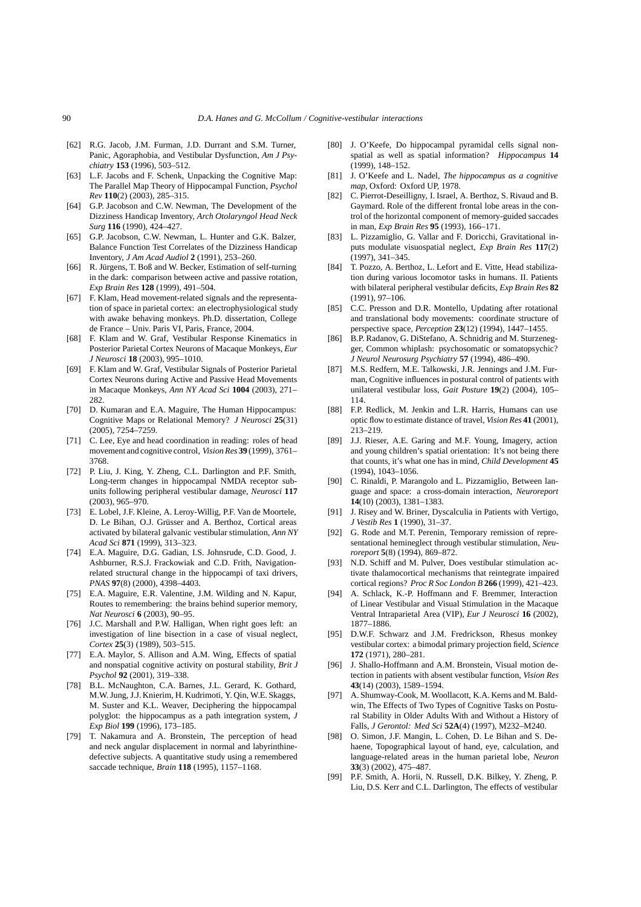- [62] R.G. Jacob, J.M. Furman, J.D. Durrant and S.M. Turner, Panic, Agoraphobia, and Vestibular Dysfunction, *Am J Psychiatry* **153** (1996), 503–512.
- [63] L.F. Jacobs and F. Schenk, Unpacking the Cognitive Map: The Parallel Map Theory of Hippocampal Function, *Psychol Rev* **110**(2) (2003), 285–315.
- [64] G.P. Jacobson and C.W. Newman, The Development of the Dizziness Handicap Inventory, *Arch Otolaryngol Head Neck Surg* **116** (1990), 424–427.
- [65] G.P. Jacobson, C.W. Newman, L. Hunter and G.K. Balzer, Balance Function Test Correlates of the Dizziness Handicap Inventory, *J Am Acad Audiol* **2** (1991), 253–260.
- [66] R. Jürgens, T. Boß and W. Becker, Estimation of self-turning in the dark: comparison between active and passive rotation, *Exp Brain Res* **128** (1999), 491–504.
- [67] F. Klam, Head movement-related signals and the representation of space in parietal cortex: an electrophysiological study with awake behaving monkeys. Ph.D. dissertation, College de France – Univ. Paris VI, Paris, France, 2004.
- [68] F. Klam and W. Graf, Vestibular Response Kinematics in Posterior Parietal Cortex Neurons of Macaque Monkeys, *Eur J Neurosci* **18** (2003), 995–1010.
- [69] F. Klam and W. Graf, Vestibular Signals of Posterior Parietal Cortex Neurons during Active and Passive Head Movements in Macaque Monkeys, *Ann NY Acad Sci* **1004** (2003), 271– 282.
- [70] D. Kumaran and E.A. Maguire, The Human Hippocampus: Cognitive Maps or Relational Memory? *J Neurosci* **25**(31) (2005), 7254–7259.
- [71] C. Lee, Eye and head coordination in reading: roles of head movement and cognitive control, *Vision Res* **39** (1999), 3761– 3768.
- [72] P. Liu, J. King, Y. Zheng, C.L. Darlington and P.F. Smith, Long-term changes in hippocampal NMDA receptor subunits following peripheral vestibular damage, *Neurosci* **117** (2003), 965–970.
- [73] E. Lobel, J.F. Kleine, A. Leroy-Willig, P.F. Van de Moortele, D. Le Bihan, O.J. Grüsser and A. Berthoz, Cortical areas activated by bilateral galvanic vestibular stimulation, *Ann NY Acad Sci* **871** (1999), 313–323.
- [74] E.A. Maguire, D.G. Gadian, I.S. Johnsrude, C.D. Good, J. Ashburner, R.S.J. Frackowiak and C.D. Frith, Navigationrelated structural change in the hippocampi of taxi drivers, *PNAS* **97**(8) (2000), 4398–4403.
- [75] E.A. Maguire, E.R. Valentine, J.M. Wilding and N. Kapur, Routes to remembering: the brains behind superior memory, *Nat Neurosci* **6** (2003), 90–95.
- [76] J.C. Marshall and P.W. Halligan, When right goes left: an investigation of line bisection in a case of visual neglect, *Cortex* **25**(3) (1989), 503–515.
- [77] E.A. Maylor, S. Allison and A.M. Wing, Effects of spatial and nonspatial cognitive activity on postural stability, *Brit J Psychol* **92** (2001), 319–338.
- [78] B.L. McNaughton, C.A. Barnes, J.L. Gerard, K. Gothard, M.W. Jung, J.J. Knierim, H. Kudrimoti, Y. Qin, W.E. Skaggs, M. Suster and K.L. Weaver, Deciphering the hippocampal polyglot: the hippocampus as a path integration system, *J Exp Biol* **199** (1996), 173–185.
- [79] T. Nakamura and A. Bronstein, The perception of head and neck angular displacement in normal and labyrinthinedefective subjects. A quantitative study using a remembered saccade technique, *Brain* **118** (1995), 1157–1168.
- [80] J. O'Keefe, Do hippocampal pyramidal cells signal nonspatial as well as spatial information? *Hippocampus* **14** (1999), 148–152.
- [81] J. O'Keefe and L. Nadel, *The hippocampus as a cognitive map*, Oxford: Oxford UP, 1978.
- [82] C. Pierrot-Deseilligny, I. Israel, A. Berthoz, S. Rivaud and B. Gaymard. Role of the different frontal lobe areas in the control of the horizontal component of memory-guided saccades in man, *Exp Brain Res* **95** (1993), 166–171.
- [83] L. Pizzamiglio, G. Vallar and F. Doricchi, Gravitational inputs modulate visuospatial neglect, *Exp Brain Res* **117**(2) (1997), 341–345.
- [84] T. Pozzo, A. Berthoz, L. Lefort and E. Vitte, Head stabilization during various locomotor tasks in humans. II. Patients with bilateral peripheral vestibular deficits, *Exp Brain Res* **82** (1991), 97–106.
- [85] C.C. Presson and D.R. Montello, Updating after rotational and translational body movements: coordinate structure of perspective space, *Perception* **23**(12) (1994), 1447–1455.
- [86] B.P. Radanov, G. DiStefano, A. Schnidrig and M. Sturzenegger, Common whiplash: psychosomatic or somatopsychic? *J Neurol Neurosurg Psychiatry* **57** (1994), 486–490.
- [87] M.S. Redfern, M.E. Talkowski, J.R. Jennings and J.M. Furman, Cognitive influences in postural control of patients with unilateral vestibular loss, *Gait Posture* **19**(2) (2004), 105– 114.
- [88] F.P. Redlick, M. Jenkin and L.R. Harris, Humans can use optic flow to estimate distance of travel, *Vision Res* **41** (2001), 213–219.
- [89] J.J. Rieser, A.E. Garing and M.F. Young, Imagery, action and young children's spatial orientation: It's not being there that counts, it's what one has in mind, *Child Development* **45** (1994), 1043–1056.
- [90] C. Rinaldi, P. Marangolo and L. Pizzamiglio, Between language and space: a cross-domain interaction, *Neuroreport* **14**(10) (2003), 1381–1383.
- [91] J. Risey and W. Briner, Dyscalculia in Patients with Vertigo, *J Vestib Res* **1** (1990), 31–37.
- [92] G. Rode and M.T. Perenin, Temporary remission of representational hemineglect through vestibular stimulation, *Neuroreport* **5**(8) (1994), 869–872.
- [93] N.D. Schiff and M. Pulver, Does vestibular stimulation activate thalamocortical mechanisms that reintegrate impaired cortical regions? *Proc R Soc London B* **266** (1999), 421–423.
- [94] A. Schlack, K.-P. Hoffmann and F. Bremmer, Interaction of Linear Vestibular and Visual Stimulation in the Macaque Ventral Intraparietal Area (VIP), *Eur J Neurosci* **16** (2002), 1877–1886.
- [95] D.W.F. Schwarz and J.M. Fredrickson, Rhesus monkey vestibular cortex: a bimodal primary projection field, *Science* **172** (1971), 280–281.
- [96] J. Shallo-Hoffmann and A.M. Bronstein, Visual motion detection in patients with absent vestibular function, *Vision Res* **43**(14) (2003), 1589–1594.
- [97] A. Shumway-Cook, M. Woollacott, K.A. Kerns and M. Baldwin, The Effects of Two Types of Cognitive Tasks on Postural Stability in Older Adults With and Without a History of Falls, *J Gerontol: Med Sci* **52A**(4) (1997), M232–M240.
- [98] O. Simon, J.F. Mangin, L. Cohen, D. Le Bihan and S. Dehaene, Topographical layout of hand, eye, calculation, and language-related areas in the human parietal lobe, *Neuron* **33**(3) (2002), 475–487.
- [99] P.F. Smith, A. Horii, N. Russell, D.K. Bilkey, Y. Zheng, P. Liu, D.S. Kerr and C.L. Darlington, The effects of vestibular